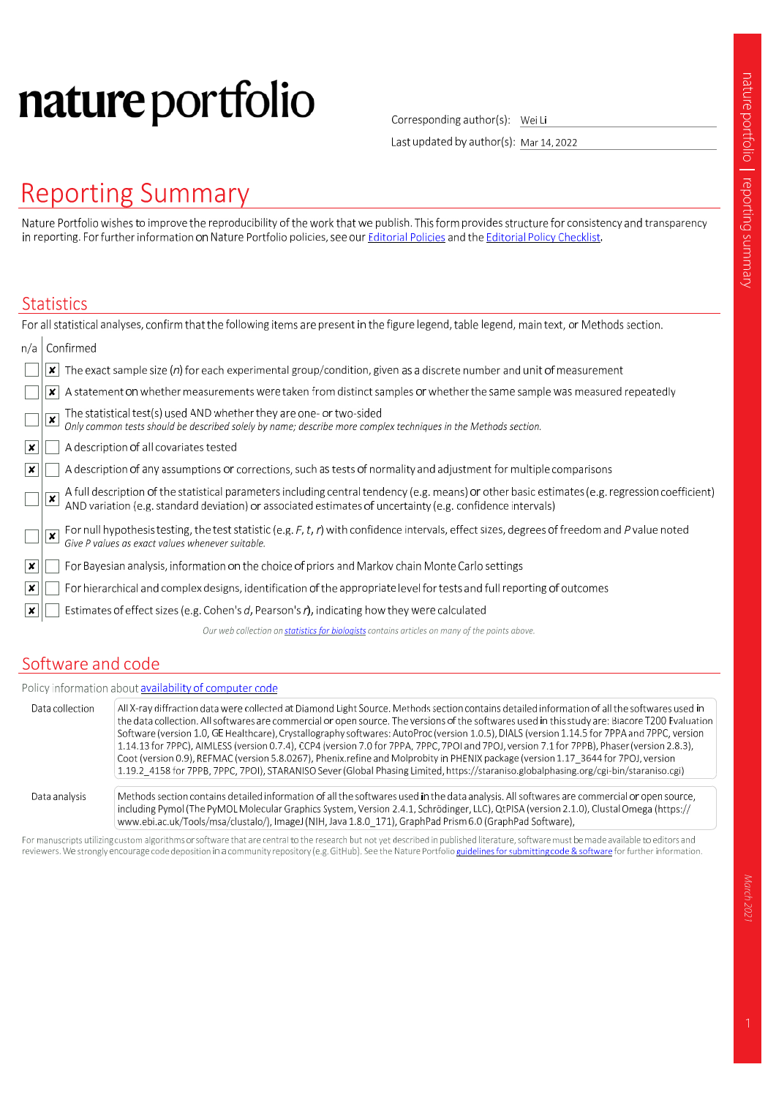# nature portfolio

Corresponding author(s): Wei Li

Last updated by author(s): Mar 14, 2022

## **Reporting Summary**

Nature Portfolio wishes to improve the reproducibility of the work that we publish. This form provides structure for consistency and transparency in reporting. For further information on Nature Portfolio policies, see our Editorial Policies and the Editorial Policy Checklist.

#### Statistics

|     |                         | For all statistical analyses, confirm that the following items are present in the figure legend, table legend, main text, or Methods section.                                                                                  |
|-----|-------------------------|--------------------------------------------------------------------------------------------------------------------------------------------------------------------------------------------------------------------------------|
| n/a |                         | Confirmed                                                                                                                                                                                                                      |
|     | x                       | The exact sample size $(n)$ for each experimental group/condition, given as a discrete number and unit of measurement                                                                                                          |
|     | x                       | A statement on whether measurements were taken from distinct samples or whether the same sample was measured repeatedly                                                                                                        |
|     | ×                       | The statistical test(s) used AND whether they are one- or two-sided<br>Only common tests should be described solely by name; describe more complex techniques in the Methods section.                                          |
| x   |                         | A description of all covariates tested                                                                                                                                                                                         |
| l x |                         | A description of any assumptions or corrections, such as tests of normality and adjustment for multiple comparisons                                                                                                            |
|     | $\overline{\mathbf{x}}$ | A full description of the statistical parameters including central tendency (e.g. means) or other basic estimates (e.g. regression coefficient) AND variation (e.g. standard deviation) or associated estimates of uncertainty |
|     | $\pmb{\times}$          | For null hypothesis testing, the test statistic (e.g. F, t, r) with confidence intervals, effect sizes, degrees of freedom and P value noted<br>Give P values as exact values whenever suitable.                               |
| x   |                         | For Bayesian analysis, information on the choice of priors and Markov chain Monte Carlo settings                                                                                                                               |
| x   |                         | For hierarchical and complex designs, identification of the appropriate level for tests and full reporting of outcomes                                                                                                         |
| ∣×. |                         | Estimates of effect sizes (e.g. Cohen's $d$ , Pearson's $r$ ), indicating how they were calculated                                                                                                                             |
|     |                         | Our web collection on statistics for biologists contains articles on many of the points above.                                                                                                                                 |
|     |                         |                                                                                                                                                                                                                                |

#### oftware and code،

|                 | Policy information about availability of computer code                                                                                                                                                                                                                                                                                                                                                                                                                                                                                                                                                                                                                                                                                                                                                                                                                          |
|-----------------|---------------------------------------------------------------------------------------------------------------------------------------------------------------------------------------------------------------------------------------------------------------------------------------------------------------------------------------------------------------------------------------------------------------------------------------------------------------------------------------------------------------------------------------------------------------------------------------------------------------------------------------------------------------------------------------------------------------------------------------------------------------------------------------------------------------------------------------------------------------------------------|
| Data collection | All X-ray diffraction data were collected at Diamond Light Source. Methods section contains detailed information of all the softwares used in<br>the data collection. All softwares are commercial or open source. The versions of the softwares used in this study are: Biacore T200 Evaluation<br>Software (version 1.0, GE Healthcare), Crystallography softwares: AutoProc (version 1.0.5), DIALS (version 1.14.5 for 7PPA and 7PPC, version<br>1.14.13 for 7PPC), AIMLESS (version 0.7.4), CCP4 (version 7.0 for 7PPA, 7PPC, 7POI and 7POJ, version 7.1 for 7PPB), Phaser (version 2.8.3),<br>Coot (version 0.9), REFMAC (version 5.8.0267), Phenix.refine and Molprobity in PHENIX package (version 1.17 3644 for 7POJ, version<br>1.19.2 4158 for 7PPB, 7PPC, 7POI), STARANISO Sever (Global Phasing Limited, https://staraniso.globalphasing.org/cgi-bin/staraniso.cgi) |
| Data analysis   | Methods section contains detailed information of all the softwares used in the data analysis. All softwares are commercial or open source,<br>including Pymol (The PyMOL Molecular Graphics System, Version 2.4.1, Schrödinger, LLC), QtPISA (version 2.1.0), Clustal Omega (https://<br>www.ebi.ac.uk/Tools/msa/clustalo/), ImageJ (NIH, Java 1.8.0 171), GraphPad Prism 6.0 (GraphPad Software),                                                                                                                                                                                                                                                                                                                                                                                                                                                                              |

For manuscripts utilizing custom algorithms or software that are central to the research but not yet described in published literature, software must be made available to editors and reviewers. We strongly encourage code deposition in a community repository (e.g. GitHub). See the Nature Portfolio guidelines for submitting code & software for further information.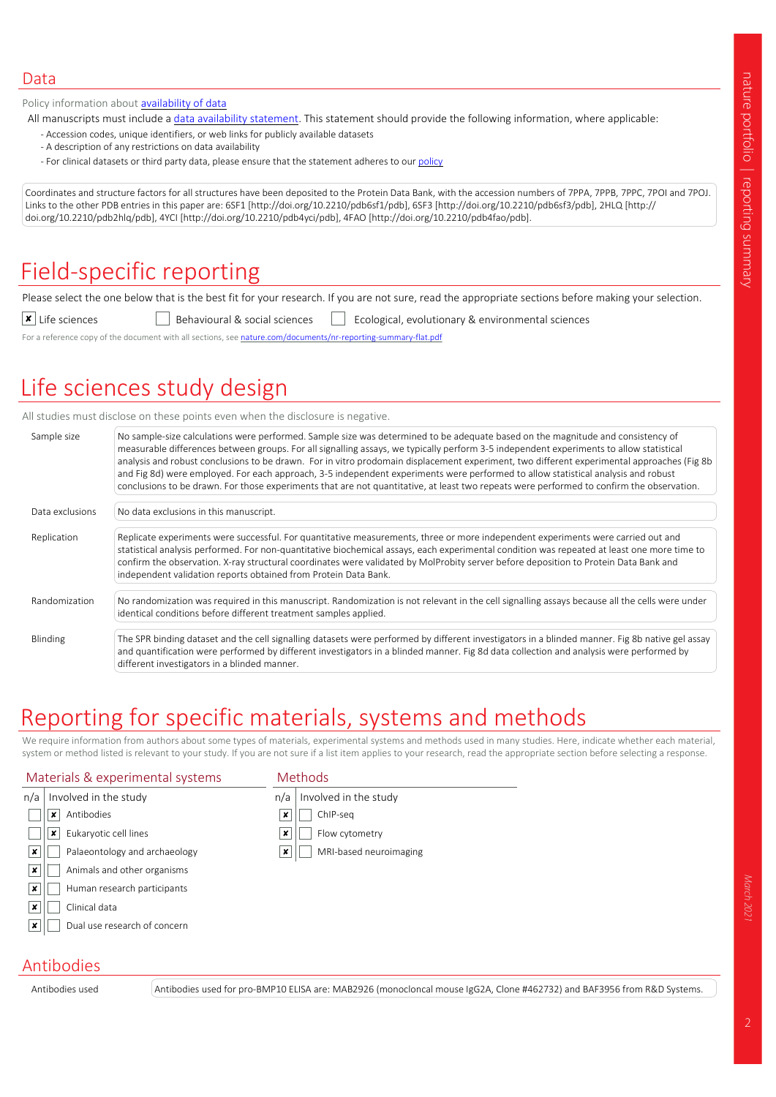Policy information about **availability of data** 

All manuscripts must include a data availability statement. This statement should provide the following information, where applicable:

- Accession codes, unique identifiers, or web links for publicly available datasets
- A description of any restrictions on data availability
- For clinical datasets or third party data, please ensure that the statement adheres to our policy

Coordinates and structure factors for all structures have been deposited to the Protein Data Bank, with the accession numbers of 7PPA, 7PPB, 7PPC, 7POI and 7POJ. Links to the other PDB entries in this paper are: 6SF1 [http://doi.org/10.2210/pdb6sf1/pdb], 6SF3 [http://doi.org/10.2210/pdb6sf3/pdb], 2HLQ [http:// doi.org/10.2210/pdb2hlq/pdb], 4YCI [http://doi.org/10.2210/pdb4yci/pdb], 4FAO [http://doi.org/10.2210/pdb4fao/pdb].

## Field-specific reporting

Please select the one below that is the best fit for your research. If you are not sure, read the appropriate sections before making your selection.

 $\boxed{\textbf{x}}$  Life sciences  $\boxed{\phantom{\textbf{x}}}$  Behavioural & social sciences  $\boxed{\phantom{\textbf{x}}}$  Ecological, evolutionary & environmental sciences

For a reference copy of the document with all sections, see nature.com/documents/nr-reporting-summary-flat.pdf

## Life sciences study design

All studies must disclose on these points even when the disclosure is negative.

| Sample size     | No sample-size calculations were performed. Sample size was determined to be adequate based on the magnitude and consistency of<br>measurable differences between groups. For all signalling assays, we typically perform 3-5 independent experiments to allow statistical<br>analysis and robust conclusions to be drawn. For in vitro prodomain displacement experiment, two different experimental approaches (Fig 8b<br>and Fig 8d) were employed. For each approach, 3-5 independent experiments were performed to allow statistical analysis and robust<br>conclusions to be drawn. For those experiments that are not quantitative, at least two repeats were performed to confirm the observation. |
|-----------------|------------------------------------------------------------------------------------------------------------------------------------------------------------------------------------------------------------------------------------------------------------------------------------------------------------------------------------------------------------------------------------------------------------------------------------------------------------------------------------------------------------------------------------------------------------------------------------------------------------------------------------------------------------------------------------------------------------|
| Data exclusions | No data exclusions in this manuscript.                                                                                                                                                                                                                                                                                                                                                                                                                                                                                                                                                                                                                                                                     |
| Replication     | Replicate experiments were successful. For quantitative measurements, three or more independent experiments were carried out and<br>statistical analysis performed. For non-quantitative biochemical assays, each experimental condition was repeated at least one more time to<br>confirm the observation. X-ray structural coordinates were validated by MolProbity server before deposition to Protein Data Bank and<br>independent validation reports obtained from Protein Data Bank.                                                                                                                                                                                                                 |
| Randomization   | No randomization was required in this manuscript. Randomization is not relevant in the cell signalling assays because all the cells were under<br>identical conditions before different treatment samples applied.                                                                                                                                                                                                                                                                                                                                                                                                                                                                                         |
| Blinding        | The SPR binding dataset and the cell signalling datasets were performed by different investigators in a blinded manner. Fig 8b native gel assay<br>and quantification were performed by different investigators in a blinded manner. Fig 8d data collection and analysis were performed by<br>different investigators in a blinded manner.                                                                                                                                                                                                                                                                                                                                                                 |

## Reporting for specific materials, systems and methods

We require information from authors about some types of materials, experimental systems and methods used in many studies. Here, indicate whether each material, system or method listed is relevant to your study. If you are not sure if a list item applies to your research, read the appropriate section before selecting a response.

|     | Materials & experimental systems | <b>Methods</b>   |                        |
|-----|----------------------------------|------------------|------------------------|
| n/a | Involved in the study            | n/a              | Involved in the study  |
|     | Antibodies<br>x                  | x                | ChIP-seg               |
|     | Eukaryotic cell lines<br>×       | ×                | Flow cytometry         |
| ×   | Palaeontology and archaeology    | $\boldsymbol{x}$ | MRI-based neuroimaging |
| ×   | Animals and other organisms      |                  |                        |
| x   | Human research participants      |                  |                        |
| ×   | Clinical data                    |                  |                        |
|     | Dual use research of concern     |                  |                        |
|     |                                  |                  |                        |

#### Antibodies

Antibodies used

Antibodies used for pro-BMP10 ELISA are: MAB2926 (monocloncal mouse IgG2A, Clone #462732) and BAF3956 from R&D Systems.

March 2021